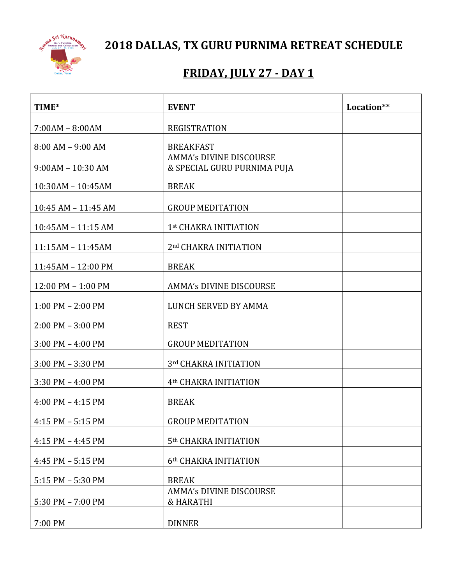

**2018 DALLAS, TX GURU PURNIMA RETREAT SCHEDULE**

# **FRIDAY, JULY 27 - DAY 1**

| TIME*                 | <b>EVENT</b>                                                  | Location** |
|-----------------------|---------------------------------------------------------------|------------|
| $7:00AM - 8:00AM$     | <b>REGISTRATION</b>                                           |            |
| $8:00$ AM $-9:00$ AM  | <b>BREAKFAST</b>                                              |            |
| $9:00AM - 10:30AM$    | <b>AMMA's DIVINE DISCOURSE</b><br>& SPECIAL GURU PURNIMA PUJA |            |
| 10:30AM - 10:45AM     | <b>BREAK</b>                                                  |            |
| 10:45 AM - 11:45 AM   | <b>GROUP MEDITATION</b>                                       |            |
| 10:45AM - 11:15 AM    | 1st CHAKRA INITIATION                                         |            |
| 11:15AM - 11:45AM     | 2nd CHAKRA INITIATION                                         |            |
| 11:45AM - 12:00 PM    | <b>BREAK</b>                                                  |            |
| 12:00 PM - 1:00 PM    | <b>AMMA's DIVINE DISCOURSE</b>                                |            |
| $1:00$ PM $- 2:00$ PM | LUNCH SERVED BY AMMA                                          |            |
| $2:00$ PM $-3:00$ PM  | <b>REST</b>                                                   |            |
| $3:00$ PM $-$ 4:00 PM | <b>GROUP MEDITATION</b>                                       |            |
| $3:00$ PM $-3:30$ PM  | 3rd CHAKRA INITIATION                                         |            |
| $3:30$ PM $- 4:00$ PM | 4 <sup>th</sup> CHAKRA INITIATION                             |            |
| $4:00$ PM $- 4:15$ PM | <b>BREAK</b>                                                  |            |
| $4:15$ PM $-5:15$ PM  | <b>GROUP MEDITATION</b>                                       |            |
| $4:15$ PM $- 4:45$ PM | 5 <sup>th</sup> CHAKRA INITIATION                             |            |
| $4:45$ PM $-5:15$ PM  | 6th CHAKRA INITIATION                                         |            |
| 5:15 PM - 5:30 PM     | <b>BREAK</b>                                                  |            |
| 5:30 PM - 7:00 PM     | <b>AMMA's DIVINE DISCOURSE</b><br>& HARATHI                   |            |
| 7:00 PM               | <b>DINNER</b>                                                 |            |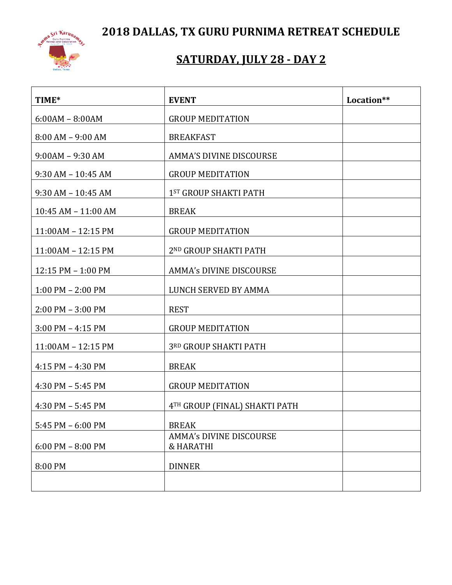**2018 DALLAS, TX GURU PURNIMA RETREAT SCHEDULE**



# **SATURDAY, JULY 28 - DAY 2**

| TIME*                 | <b>EVENT</b>                                | Location** |
|-----------------------|---------------------------------------------|------------|
| $6:00AM - 8:00AM$     | <b>GROUP MEDITATION</b>                     |            |
| $8:00$ AM $-$ 9:00 AM | <b>BREAKFAST</b>                            |            |
| $9:00AM - 9:30AM$     | <b>AMMA'S DIVINE DISCOURSE</b>              |            |
| $9:30$ AM $-10:45$ AM | <b>GROUP MEDITATION</b>                     |            |
| $9:30$ AM $-10:45$ AM | 1ST GROUP SHAKTI PATH                       |            |
| 10:45 AM - 11:00 AM   | <b>BREAK</b>                                |            |
| 11:00AM - 12:15 PM    | <b>GROUP MEDITATION</b>                     |            |
| 11:00AM - 12:15 PM    | 2ND GROUP SHAKTI PATH                       |            |
| 12:15 PM - 1:00 PM    | AMMA's DIVINE DISCOURSE                     |            |
| $1:00$ PM $- 2:00$ PM | LUNCH SERVED BY AMMA                        |            |
| $2:00$ PM $-3:00$ PM  | <b>REST</b>                                 |            |
| $3:00$ PM $-4:15$ PM  | <b>GROUP MEDITATION</b>                     |            |
| 11:00AM - 12:15 PM    | 3RD GROUP SHAKTI PATH                       |            |
| $4:15$ PM $- 4:30$ PM | <b>BREAK</b>                                |            |
| 4:30 PM $-$ 5:45 PM   | <b>GROUP MEDITATION</b>                     |            |
| $4:30$ PM $-5:45$ PM  | 4TH GROUP (FINAL) SHAKTI PATH               |            |
| $5:45$ PM $-6:00$ PM  | <b>BREAK</b>                                |            |
| $6:00$ PM $- 8:00$ PM | <b>AMMA's DIVINE DISCOURSE</b><br>& HARATHI |            |
| 8:00 PM               | <b>DINNER</b>                               |            |
|                       |                                             |            |